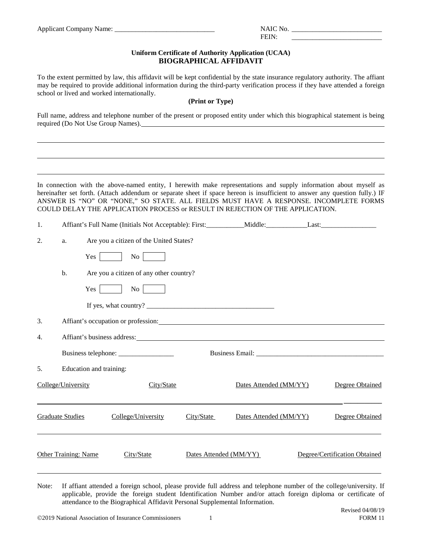Applicant Company Name: \_\_\_\_\_\_\_\_\_\_\_\_\_\_\_\_\_\_\_\_\_\_\_\_\_\_\_\_\_ NAIC No. \_\_\_\_\_\_\_\_\_\_\_\_\_\_\_\_\_\_\_\_\_\_\_\_\_\_

| NAIC No. |  |
|----------|--|
| ET T     |  |

## **Uniform Certificate of Authority Application (UCAA) BIOGRAPHICAL AFFIDAVIT**

To the extent permitted by law, this affidavit will be kept confidential by the state insurance regulatory authority. The affiant may be required to provide additional information during the third-party verification process if they have attended a foreign school or lived and worked internationally.

## **(Print or Type)**

Full name, address and telephone number of the present or proposed entity under which this biographical statement is being required (Do Not Use Group Names).

In connection with the above-named entity, I herewith make representations and supply information about myself as hereinafter set forth. (Attach addendum or separate sheet if space hereon is insufficient to answer any question fully.) IF ANSWER IS "NO" OR "NONE," SO STATE. ALL FIELDS MUST HAVE A RESPONSE. INCOMPLETE FORMS COULD DELAY THE APPLICATION PROCESS or RESULT IN REJECTION OF THE APPLICATION.

| 1. |                                                                                                                                                                                                                               |                         |                                                                                                                                                                                                                               |                        |                        |  |                               |
|----|-------------------------------------------------------------------------------------------------------------------------------------------------------------------------------------------------------------------------------|-------------------------|-------------------------------------------------------------------------------------------------------------------------------------------------------------------------------------------------------------------------------|------------------------|------------------------|--|-------------------------------|
| 2. | a.                                                                                                                                                                                                                            |                         | Are you a citizen of the United States?                                                                                                                                                                                       |                        |                        |  |                               |
|    |                                                                                                                                                                                                                               | $Yes \perp$             | No No                                                                                                                                                                                                                         |                        |                        |  |                               |
|    | b.                                                                                                                                                                                                                            |                         | Are you a citizen of any other country?                                                                                                                                                                                       |                        |                        |  |                               |
|    |                                                                                                                                                                                                                               | $Yes$                   | No                                                                                                                                                                                                                            |                        |                        |  |                               |
|    |                                                                                                                                                                                                                               |                         |                                                                                                                                                                                                                               |                        |                        |  |                               |
| 3. |                                                                                                                                                                                                                               |                         | Affiant's occupation or profession: Note that the contract of the contract of the contract of the contract of the contract of the contract of the contract of the contract of the contract of the contract of the contract of |                        |                        |  |                               |
| 4. | Affiant's business address: Universe of the state of the state of the state of the state of the state of the state of the state of the state of the state of the state of the state of the state of the state of the state of |                         |                                                                                                                                                                                                                               |                        |                        |  |                               |
|    |                                                                                                                                                                                                                               |                         |                                                                                                                                                                                                                               |                        |                        |  |                               |
| 5. |                                                                                                                                                                                                                               | Education and training: |                                                                                                                                                                                                                               |                        |                        |  |                               |
|    | College/University                                                                                                                                                                                                            |                         | City/State                                                                                                                                                                                                                    |                        | Dates Attended (MM/YY) |  | Degree Obtained               |
|    | <b>Graduate Studies</b>                                                                                                                                                                                                       |                         | College/University                                                                                                                                                                                                            | City/State             | Dates Attended (MM/YY) |  | Degree Obtained               |
|    | <b>Other Training: Name</b>                                                                                                                                                                                                   |                         | City/State                                                                                                                                                                                                                    | Dates Attended (MM/YY) |                        |  | Degree/Certification Obtained |

Note: If affiant attended a foreign school, please provide full address and telephone number of the college/university. If applicable, provide the foreign student Identification Number and/or attach foreign diploma or certificate of attendance to the Biographical Affidavit Personal Supplemental Information.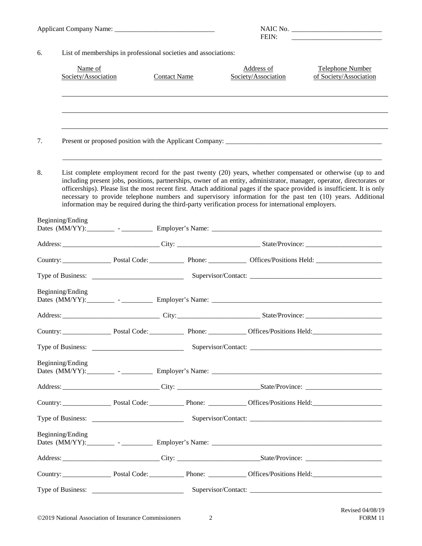|                                                                       |                                |                   |                     |  | FEIN:                                                                                                |                                                                                                                                                                                                                                                                                                                                                                                                                                                                                    |
|-----------------------------------------------------------------------|--------------------------------|-------------------|---------------------|--|------------------------------------------------------------------------------------------------------|------------------------------------------------------------------------------------------------------------------------------------------------------------------------------------------------------------------------------------------------------------------------------------------------------------------------------------------------------------------------------------------------------------------------------------------------------------------------------------|
| List of memberships in professional societies and associations:<br>6. |                                |                   |                     |  |                                                                                                      |                                                                                                                                                                                                                                                                                                                                                                                                                                                                                    |
|                                                                       | Name of<br>Society/Association |                   | <b>Contact Name</b> |  | Address of<br>Society/Association                                                                    | Telephone Number<br>of Society/Association                                                                                                                                                                                                                                                                                                                                                                                                                                         |
|                                                                       |                                |                   |                     |  |                                                                                                      |                                                                                                                                                                                                                                                                                                                                                                                                                                                                                    |
| 7.                                                                    |                                |                   |                     |  |                                                                                                      |                                                                                                                                                                                                                                                                                                                                                                                                                                                                                    |
| 8.                                                                    |                                |                   |                     |  | information may be required during the third-party verification process for international employers. | List complete employment record for the past twenty (20) years, whether compensated or otherwise (up to and<br>including present jobs, positions, partnerships, owner of an entity, administrator, manager, operator, directorates or<br>officerships). Please list the most recent first. Attach additional pages if the space provided is insufficient. It is only<br>necessary to provide telephone numbers and supervisory information for the past ten (10) years. Additional |
|                                                                       | Beginning/Ending               |                   |                     |  |                                                                                                      |                                                                                                                                                                                                                                                                                                                                                                                                                                                                                    |
|                                                                       |                                |                   |                     |  |                                                                                                      |                                                                                                                                                                                                                                                                                                                                                                                                                                                                                    |
|                                                                       |                                |                   |                     |  |                                                                                                      |                                                                                                                                                                                                                                                                                                                                                                                                                                                                                    |
|                                                                       |                                |                   |                     |  |                                                                                                      |                                                                                                                                                                                                                                                                                                                                                                                                                                                                                    |
|                                                                       | Beginning/Ending               |                   |                     |  |                                                                                                      |                                                                                                                                                                                                                                                                                                                                                                                                                                                                                    |
|                                                                       |                                |                   |                     |  |                                                                                                      |                                                                                                                                                                                                                                                                                                                                                                                                                                                                                    |
| Country:                                                              |                                |                   |                     |  |                                                                                                      |                                                                                                                                                                                                                                                                                                                                                                                                                                                                                    |
|                                                                       |                                |                   |                     |  |                                                                                                      |                                                                                                                                                                                                                                                                                                                                                                                                                                                                                    |
|                                                                       | Beginning/Ending               |                   |                     |  |                                                                                                      |                                                                                                                                                                                                                                                                                                                                                                                                                                                                                    |
|                                                                       |                                |                   |                     |  |                                                                                                      |                                                                                                                                                                                                                                                                                                                                                                                                                                                                                    |
|                                                                       |                                |                   |                     |  |                                                                                                      |                                                                                                                                                                                                                                                                                                                                                                                                                                                                                    |
|                                                                       |                                |                   |                     |  |                                                                                                      |                                                                                                                                                                                                                                                                                                                                                                                                                                                                                    |
|                                                                       | Beginning/Ending               |                   |                     |  |                                                                                                      |                                                                                                                                                                                                                                                                                                                                                                                                                                                                                    |
|                                                                       |                                |                   |                     |  |                                                                                                      |                                                                                                                                                                                                                                                                                                                                                                                                                                                                                    |
|                                                                       |                                |                   |                     |  |                                                                                                      |                                                                                                                                                                                                                                                                                                                                                                                                                                                                                    |
|                                                                       |                                | Type of Business: |                     |  |                                                                                                      | Supervisor/Contact:                                                                                                                                                                                                                                                                                                                                                                                                                                                                |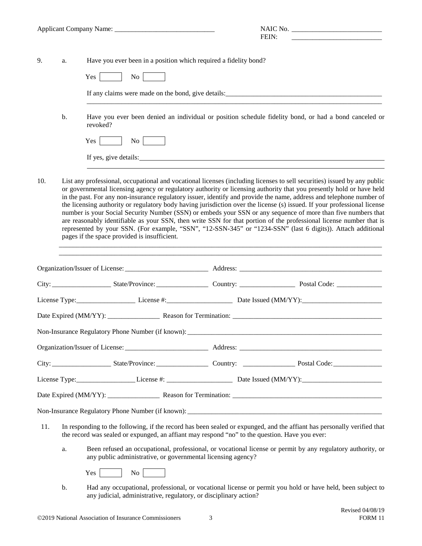|     |    |                                                                                                | FEIN:<br><u> 1980 - John Barnett, fransk kongresu og den forske forskellige og det forskellige og det forskellige og det</u>                                                                                                                                                                                                                                                                                                                                                                                                                                                                                                                                                                                                                                                                                                                                 |
|-----|----|------------------------------------------------------------------------------------------------|--------------------------------------------------------------------------------------------------------------------------------------------------------------------------------------------------------------------------------------------------------------------------------------------------------------------------------------------------------------------------------------------------------------------------------------------------------------------------------------------------------------------------------------------------------------------------------------------------------------------------------------------------------------------------------------------------------------------------------------------------------------------------------------------------------------------------------------------------------------|
| 9.  | a. | Have you ever been in a position which required a fidelity bond?                               |                                                                                                                                                                                                                                                                                                                                                                                                                                                                                                                                                                                                                                                                                                                                                                                                                                                              |
|     |    | No No<br>Yes                                                                                   |                                                                                                                                                                                                                                                                                                                                                                                                                                                                                                                                                                                                                                                                                                                                                                                                                                                              |
|     |    |                                                                                                |                                                                                                                                                                                                                                                                                                                                                                                                                                                                                                                                                                                                                                                                                                                                                                                                                                                              |
|     | b. | revoked?                                                                                       | Have you ever been denied an individual or position schedule fidelity bond, or had a bond canceled or                                                                                                                                                                                                                                                                                                                                                                                                                                                                                                                                                                                                                                                                                                                                                        |
|     |    | $\overline{N}$ o<br>Yes                                                                        |                                                                                                                                                                                                                                                                                                                                                                                                                                                                                                                                                                                                                                                                                                                                                                                                                                                              |
|     |    |                                                                                                | If yes, give details: The contract of the contract of the contract of the contract of the contract of the contract of the contract of the contract of the contract of the contract of the contract of the contract of the cont                                                                                                                                                                                                                                                                                                                                                                                                                                                                                                                                                                                                                               |
| 10. |    | pages if the space provided is insufficient.                                                   | List any professional, occupational and vocational licenses (including licenses to sell securities) issued by any public<br>or governmental licensing agency or regulatory authority or licensing authority that you presently hold or have held<br>in the past. For any non-insurance regulatory issuer, identify and provide the name, address and telephone number of<br>the licensing authority or regulatory body having jurisdiction over the license (s) issued. If your professional license<br>number is your Social Security Number (SSN) or embeds your SSN or any sequence of more than five numbers that<br>are reasonably identifiable as your SSN, then write SSN for that portion of the professional license number that is<br>represented by your SSN. (For example, "SSN", "12-SSN-345" or "1234-SSN" (last 6 digits)). Attach additional |
|     |    |                                                                                                |                                                                                                                                                                                                                                                                                                                                                                                                                                                                                                                                                                                                                                                                                                                                                                                                                                                              |
|     |    |                                                                                                |                                                                                                                                                                                                                                                                                                                                                                                                                                                                                                                                                                                                                                                                                                                                                                                                                                                              |
|     |    |                                                                                                | License Type: License #: License #: Date Issued (MM/YY):                                                                                                                                                                                                                                                                                                                                                                                                                                                                                                                                                                                                                                                                                                                                                                                                     |
|     |    |                                                                                                |                                                                                                                                                                                                                                                                                                                                                                                                                                                                                                                                                                                                                                                                                                                                                                                                                                                              |
|     |    | Non-Insurance Regulatory Phone Number (if known):                                              |                                                                                                                                                                                                                                                                                                                                                                                                                                                                                                                                                                                                                                                                                                                                                                                                                                                              |
|     |    |                                                                                                |                                                                                                                                                                                                                                                                                                                                                                                                                                                                                                                                                                                                                                                                                                                                                                                                                                                              |
|     |    |                                                                                                |                                                                                                                                                                                                                                                                                                                                                                                                                                                                                                                                                                                                                                                                                                                                                                                                                                                              |
|     |    |                                                                                                | License Type: License #: License #: License #: Date Issued (MM/YY):                                                                                                                                                                                                                                                                                                                                                                                                                                                                                                                                                                                                                                                                                                                                                                                          |
|     |    |                                                                                                |                                                                                                                                                                                                                                                                                                                                                                                                                                                                                                                                                                                                                                                                                                                                                                                                                                                              |
|     |    |                                                                                                |                                                                                                                                                                                                                                                                                                                                                                                                                                                                                                                                                                                                                                                                                                                                                                                                                                                              |
| 11. |    | the record was sealed or expunged, an affiant may respond "no" to the question. Have you ever: | In responding to the following, if the record has been sealed or expunged, and the affiant has personally verified that                                                                                                                                                                                                                                                                                                                                                                                                                                                                                                                                                                                                                                                                                                                                      |
|     | a. | any public administrative, or governmental licensing agency?                                   | Been refused an occupational, professional, or vocational license or permit by any regulatory authority, or                                                                                                                                                                                                                                                                                                                                                                                                                                                                                                                                                                                                                                                                                                                                                  |
|     |    | No<br>Yes 1                                                                                    |                                                                                                                                                                                                                                                                                                                                                                                                                                                                                                                                                                                                                                                                                                                                                                                                                                                              |
|     | b. | any judicial, administrative, regulatory, or disciplinary action?                              | Had any occupational, professional, or vocational license or permit you hold or have held, been subject to                                                                                                                                                                                                                                                                                                                                                                                                                                                                                                                                                                                                                                                                                                                                                   |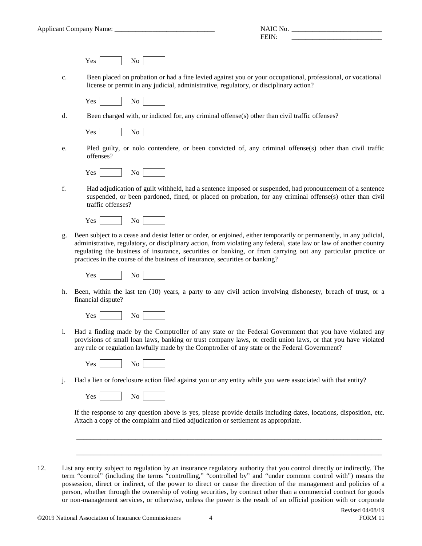| <b>Applicant Company Name:</b> |  |  |
|--------------------------------|--|--|
|                                |  |  |

| -------<br>Apr<br>.<br>$    -$<br>.<br>. Ια.<br>чашс<br>_________<br>. . | י<br>,,                             |
|--------------------------------------------------------------------------|-------------------------------------|
|                                                                          | the contract of the contract of the |

Yes No

c. Been placed on probation or had a fine levied against you or your occupational, professional, or vocational license or permit in any judicial, administrative, regulatory, or disciplinary action?

Yes No

d. Been charged with, or indicted for, any criminal offense(s) other than civil traffic offenses?

Yes No

e. Pled guilty, or nolo contendere, or been convicted of, any criminal offense(s) other than civil traffic offenses?



f. Had adjudication of guilt withheld, had a sentence imposed or suspended, had pronouncement of a sentence suspended, or been pardoned, fined, or placed on probation, for any criminal offense(s) other than civil traffic offenses?



g. Been subject to a cease and desist letter or order, or enjoined, either temporarily or permanently, in any judicial, administrative, regulatory, or disciplinary action, from violating any federal, state law or law of another country regulating the business of insurance, securities or banking, or from carrying out any particular practice or practices in the course of the business of insurance, securities or banking?



h. Been, within the last ten (10) years, a party to any civil action involving dishonesty, breach of trust, or a financial dispute?



i. Had a finding made by the Comptroller of any state or the Federal Government that you have violated any provisions of small loan laws, banking or trust company laws, or credit union laws, or that you have violated any rule or regulation lawfully made by the Comptroller of any state or the Federal Government?

j. Had a lien or foreclosure action filed against you or any entity while you were associated with that entity?

If the response to any question above is yes, please provide details including dates, locations, disposition, etc. Attach a copy of the complaint and filed adjudication or settlement as appropriate.

\_\_\_\_\_\_\_\_\_\_\_\_\_\_\_\_\_\_\_\_\_\_\_\_\_\_\_\_\_\_\_\_\_\_\_\_\_\_\_\_\_\_\_\_\_\_\_\_\_\_\_\_\_\_\_\_\_\_\_\_\_\_\_\_\_\_\_\_\_\_\_\_\_\_\_\_\_\_\_\_\_\_\_\_\_\_\_\_

\_\_\_\_\_\_\_\_\_\_\_\_\_\_\_\_\_\_\_\_\_\_\_\_\_\_\_\_\_\_\_\_\_\_\_\_\_\_\_\_\_\_\_\_\_\_\_\_\_\_\_\_\_\_\_\_\_\_\_\_\_\_\_\_\_\_\_\_\_\_\_\_\_\_\_\_\_\_\_\_\_\_\_\_\_\_\_\_

12. List any entity subject to regulation by an insurance regulatory authority that you control directly or indirectly. The term "control" (including the terms "controlling," "controlled by" and "under common control with") means the possession, direct or indirect, of the power to direct or cause the direction of the management and policies of a person, whether through the ownership of voting securities, by contract other than a commercial contract for goods or non-management services, or otherwise, unless the power is the result of an official position with or corporate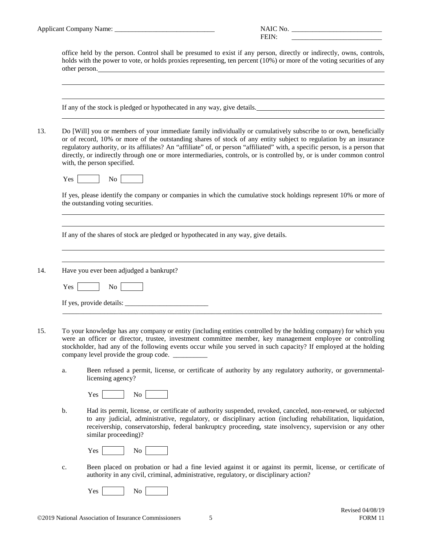| <b>Applicant Company Name:</b> |
|--------------------------------|
|--------------------------------|

| Applic<br>$\mathsf{companv}$<br>ıcant<br>. чин.<br>vanne.<br>_________ | ``<br>_________________ |  |
|------------------------------------------------------------------------|-------------------------|--|
| . .                                                                    | _____________________   |  |

office held by the person. Control shall be presumed to exist if any person, directly or indirectly, owns, controls, holds with the power to vote, or holds proxies representing, ten percent (10%) or more of the voting securities of any other person.

If any of the stock is pledged or hypothecated in any way, give details.

13. Do [Will] you or members of your immediate family individually or cumulatively subscribe to or own, beneficially or of record, 10% or more of the outstanding shares of stock of any entity subject to regulation by an insurance regulatory authority, or its affiliates? An "affiliate" of, or person "affiliated" with, a specific person, is a person that directly, or indirectly through one or more intermediaries, controls, or is controlled by, or is under common control with, the person specified.



If yes, please identify the company or companies in which the cumulative stock holdings represent 10% or more of the outstanding voting securities.

If any of the shares of stock are pledged or hypothecated in any way, give details.

14. Have you ever been adjudged a bankrupt?

| Yes                      |  |
|--------------------------|--|
| If yes, provide details: |  |

\_\_\_\_\_\_\_\_\_\_\_\_\_\_\_\_\_\_\_\_\_\_\_\_\_\_\_\_\_\_\_\_\_\_\_\_\_\_\_\_\_\_\_\_\_\_\_\_\_\_\_\_\_\_\_\_\_\_\_\_\_\_\_\_\_\_\_\_\_\_\_\_\_\_\_\_\_\_\_\_\_\_\_\_\_\_\_\_\_\_\_\_

- 15. To your knowledge has any company or entity (including entities controlled by the holding company) for which you were an officer or director, trustee, investment committee member, key management employee or controlling stockholder, had any of the following events occur while you served in such capacity? If employed at the holding company level provide the group code.
	- a. Been refused a permit, license, or certificate of authority by any regulatory authority, or governmentallicensing agency?

| ÷<br>÷<br>щ,<br>- - | -<br>- |  |
|---------------------|--------|--|
|---------------------|--------|--|

b. Had its permit, license, or certificate of authority suspended, revoked, canceled, non-renewed, or subjected to any judicial, administrative, regulatory, or disciplinary action (including rehabilitation, liquidation, receivership, conservatorship, federal bankruptcy proceeding, state insolvency, supervision or any other similar proceeding)?

| Yes | No |  |
|-----|----|--|
|     |    |  |

c. Been placed on probation or had a fine levied against it or against its permit, license, or certificate of authority in any civil, criminal, administrative, regulatory, or disciplinary action?

Yes No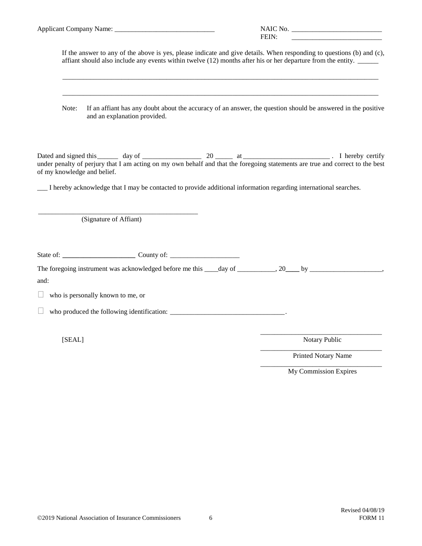|                                                                                                                                                                                                                                       | FEIN:                 |
|---------------------------------------------------------------------------------------------------------------------------------------------------------------------------------------------------------------------------------------|-----------------------|
| If the answer to any of the above is yes, please indicate and give details. When responding to questions (b) and (c),<br>affiant should also include any events within twelve (12) months after his or her departure from the entity. |                       |
| If an affiant has any doubt about the accuracy of an answer, the question should be answered in the positive<br>Note:<br>and an explanation provided.                                                                                 |                       |
| of my knowledge and belief.<br>I hereby acknowledge that I may be contacted to provide additional information regarding international searches.                                                                                       |                       |
| (Signature of Affiant)                                                                                                                                                                                                                |                       |
|                                                                                                                                                                                                                                       |                       |
| The foregoing instrument was acknowledged before me this ____day of _________, 20___ by __________________,<br>and:                                                                                                                   |                       |
| who is personally known to me, or                                                                                                                                                                                                     |                       |
|                                                                                                                                                                                                                                       |                       |
| [SEAL]                                                                                                                                                                                                                                | Notary Public         |
|                                                                                                                                                                                                                                       | Printed Notary Name   |
|                                                                                                                                                                                                                                       | My Commission Expires |
|                                                                                                                                                                                                                                       |                       |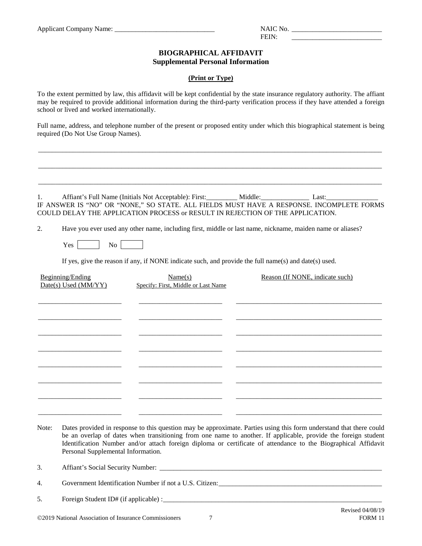$FENN:$ 

## **BIOGRAPHICAL AFFIDAVIT Supplemental Personal Information**

## **(Print or Type)**

To the extent permitted by law, this affidavit will be kept confidential by the state insurance regulatory authority. The affiant may be required to provide additional information during the third-party verification process if they have attended a foreign school or lived and worked internationally.

Full name, address, and telephone number of the present or proposed entity under which this biographical statement is being required (Do Not Use Group Names).

\_\_\_\_\_\_\_\_\_\_\_\_\_\_\_\_\_\_\_\_\_\_\_\_\_\_\_\_\_\_\_\_\_\_\_\_\_\_\_\_\_\_\_\_\_\_\_\_\_\_\_\_\_\_\_\_\_\_\_\_\_\_\_\_\_\_\_\_\_\_\_\_\_\_\_\_\_\_\_\_\_\_\_\_\_\_\_\_\_\_\_\_\_\_\_\_\_\_\_

\_\_\_\_\_\_\_\_\_\_\_\_\_\_\_\_\_\_\_\_\_\_\_\_\_\_\_\_\_\_\_\_\_\_\_\_\_\_\_\_\_\_\_\_\_\_\_\_\_\_\_\_\_\_\_\_\_\_\_\_\_\_\_\_\_\_\_\_\_\_\_\_\_\_\_\_\_\_\_\_\_\_\_\_\_\_\_\_\_\_\_\_\_\_\_\_\_\_\_

\_\_\_\_\_\_\_\_\_\_\_\_\_\_\_\_\_\_\_\_\_\_\_\_\_\_\_\_\_\_\_\_\_\_\_\_\_\_\_\_\_\_\_\_\_\_\_\_\_\_\_\_\_\_\_\_\_\_\_\_\_\_\_\_\_\_\_\_\_\_\_\_\_\_\_\_\_\_\_\_\_\_\_\_\_\_\_\_\_\_\_\_\_\_\_\_\_\_\_

1. Affiant's Full Name (Initials Not Acceptable): First: \_\_\_\_\_\_\_\_\_\_ Middle: \_\_\_\_\_\_\_\_\_\_\_\_\_\_\_\_\_\_ Last: IF ANSWER IS "NO" OR "NONE," SO STATE. ALL FIELDS MUST HAVE A RESPONSE. INCOMPLETE FORMS COULD DELAY THE APPLICATION PROCESS or RESULT IN REJECTION OF THE APPLICATION.

2. Have you ever used any other name, including first, middle or last name, nickname, maiden name or aliases?

Yes No

If yes, give the reason if any, if NONE indicate such, and provide the full name(s) and date(s) used.

| Beginning/Ending<br>Date(s) Used (MM/YY) | Name(s)<br>Specify: First, Middle or Last Name | Reason (If NONE, indicate such) |
|------------------------------------------|------------------------------------------------|---------------------------------|
|                                          |                                                |                                 |
|                                          |                                                |                                 |
|                                          |                                                |                                 |
|                                          |                                                |                                 |
|                                          |                                                |                                 |

Note: Dates provided in response to this question may be approximate. Parties using this form understand that there could be an overlap of dates when transitioning from one name to another. If applicable, provide the foreign student Identification Number and/or attach foreign diploma or certificate of attendance to the Biographical Affidavit Personal Supplemental Information.

3. Affiant's Social Security Number:

4. Government Identification Number if not a U.S. Citizen:\_\_\_\_\_\_\_\_\_\_\_\_\_\_\_\_\_\_\_\_\_\_\_\_\_\_\_\_\_\_\_\_\_\_\_\_\_\_\_\_\_\_\_\_\_\_\_

5. Foreign Student ID# (if applicable) :\_\_\_\_\_\_\_\_\_\_\_\_\_\_\_\_\_\_\_\_\_\_\_\_\_\_\_\_\_\_\_\_\_\_\_\_\_\_\_\_\_\_\_\_\_\_\_\_\_\_\_\_\_\_\_\_\_\_\_\_\_\_\_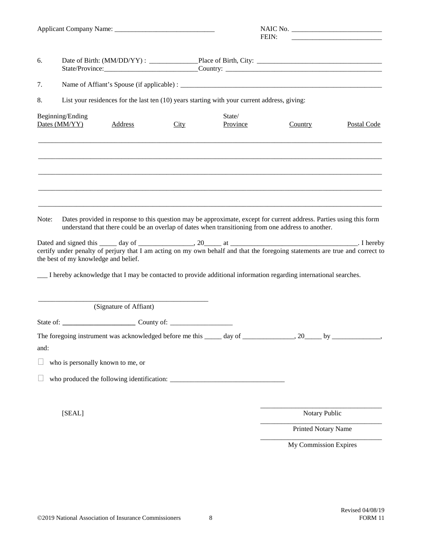|       |                                      |                                   |                                                                                              |                    | FEIN:                                                                                                            | <u> 2008 - Johann Stoff, deutscher Stoff, der Stoff, der Stoff, der Stoff, der Stoff, der Stoff, der Stoff, der S</u>                                                                                                          |
|-------|--------------------------------------|-----------------------------------|----------------------------------------------------------------------------------------------|--------------------|------------------------------------------------------------------------------------------------------------------|--------------------------------------------------------------------------------------------------------------------------------------------------------------------------------------------------------------------------------|
| 6.    |                                      |                                   |                                                                                              |                    |                                                                                                                  | State/Province: Country: Country: Country: Country: Country: Country: Country: Country: Country: Country: Country: Country: Country: Country: Country: Country: Country: Country: Country: Country: Country: Country: Country: |
| 7.    |                                      |                                   |                                                                                              |                    |                                                                                                                  |                                                                                                                                                                                                                                |
| 8.    |                                      |                                   | List your residences for the last ten (10) years starting with your current address, giving: |                    |                                                                                                                  |                                                                                                                                                                                                                                |
|       | Beginning/Ending<br>Dates (MM/YY)    | <b>Address</b>                    | City                                                                                         | State/<br>Province | Country                                                                                                          | <b>Postal Code</b>                                                                                                                                                                                                             |
|       |                                      |                                   |                                                                                              |                    |                                                                                                                  |                                                                                                                                                                                                                                |
| Note: | the best of my knowledge and belief. |                                   |                                                                                              |                    | understand that there could be an overlap of dates when transitioning from one address to another.               | Dates provided in response to this question may be approximate, except for current address. Parties using this form                                                                                                            |
|       |                                      |                                   |                                                                                              |                    | I hereby acknowledge that I may be contacted to provide additional information regarding international searches. |                                                                                                                                                                                                                                |
|       |                                      | (Signature of Affiant)            |                                                                                              |                    |                                                                                                                  |                                                                                                                                                                                                                                |
|       |                                      |                                   |                                                                                              |                    |                                                                                                                  |                                                                                                                                                                                                                                |
| and:  |                                      |                                   |                                                                                              |                    |                                                                                                                  | The foregoing instrument was acknowledged before me this _____ day of ______________, 20_____ by _____________,                                                                                                                |
|       |                                      | who is personally known to me, or |                                                                                              |                    |                                                                                                                  |                                                                                                                                                                                                                                |
|       |                                      |                                   |                                                                                              |                    |                                                                                                                  |                                                                                                                                                                                                                                |
|       |                                      |                                   |                                                                                              |                    |                                                                                                                  |                                                                                                                                                                                                                                |
|       | [SEAL]                               |                                   |                                                                                              |                    |                                                                                                                  | Notary Public                                                                                                                                                                                                                  |
|       |                                      |                                   |                                                                                              |                    |                                                                                                                  | Printed Notary Name                                                                                                                                                                                                            |
|       |                                      |                                   |                                                                                              |                    |                                                                                                                  | My Commission Expires                                                                                                                                                                                                          |
|       |                                      |                                   |                                                                                              |                    |                                                                                                                  |                                                                                                                                                                                                                                |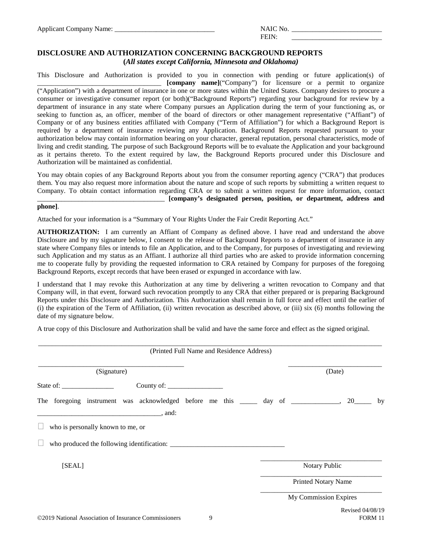$FENN:$ 

# **DISCLOSURE AND AUTHORIZATION CONCERNING BACKGROUND REPORTS (***All states except California, Minnesota and Oklahoma)*

This Disclosure and Authorization is provided to you in connection with pending or future application(s) of \_\_\_\_\_\_\_\_\_\_\_\_\_\_\_\_\_\_\_\_\_\_\_\_\_\_\_\_\_\_\_\_\_\_\_\_ **[company name]**("Company") for licensure or a permit to organize ("Application") with a department of insurance in one or more states within the United States. Company desires to procure a consumer or investigative consumer report (or both)("Background Reports") regarding your background for review by a department of insurance in any state where Company pursues an Application during the term of your functioning as, or seeking to function as, an officer, member of the board of directors or other management representative ("Affiant") of Company or of any business entities affiliated with Company ("Term of Affiliation") for which a Background Report is required by a department of insurance reviewing any Application. Background Reports requested pursuant to your authorization below may contain information bearing on your character, general reputation, personal characteristics, mode of living and credit standing. The purpose of such Background Reports will be to evaluate the Application and your background as it pertains thereto. To the extent required by law, the Background Reports procured under this Disclosure and Authorization will be maintained as confidential.

You may obtain copies of any Background Reports about you from the consumer reporting agency ("CRA") that produces them. You may also request more information about the nature and scope of such reports by submitting a written request to Company. To obtain contact information regarding CRA or to submit a written request for more information, contact \_\_\_\_\_\_\_\_\_\_\_\_\_\_\_\_\_\_\_\_\_\_\_\_\_\_\_\_\_\_\_\_\_\_\_\_\_ **[company's designated person, position, or department, address and** 

## **phone]**.

Attached for your information is a "Summary of Your Rights Under the Fair Credit Reporting Act."

**AUTHORIZATION:** I am currently an Affiant of Company as defined above. I have read and understand the above Disclosure and by my signature below, I consent to the release of Background Reports to a department of insurance in any state where Company files or intends to file an Application, and to the Company, for purposes of investigating and reviewing such Application and my status as an Affiant. I authorize all third parties who are asked to provide information concerning me to cooperate fully by providing the requested information to CRA retained by Company for purposes of the foregoing Background Reports, except records that have been erased or expunged in accordance with law.

I understand that I may revoke this Authorization at any time by delivering a written revocation to Company and that Company will, in that event, forward such revocation promptly to any CRA that either prepared or is preparing Background Reports under this Disclosure and Authorization. This Authorization shall remain in full force and effect until the earlier of (i) the expiration of the Term of Affiliation, (ii) written revocation as described above, or (iii) six (6) months following the date of my signature below.

A true copy of this Disclosure and Authorization shall be valid and have the same force and effect as the signed original.

| (Printed Full Name and Residence Address)                                                                                                   |                            |    |
|---------------------------------------------------------------------------------------------------------------------------------------------|----------------------------|----|
| (Signature)                                                                                                                                 | (Date)                     |    |
| State of: $\frac{1}{\sqrt{1-\frac{1}{2}} \cdot \frac{1}{2}}$                                                                                |                            |    |
| The foregoing instrument was acknowledged before me this ______ day of _______________,<br><u>__________________________________</u> , and: | 20                         | by |
| who is personally known to me, or                                                                                                           |                            |    |
| who produced the following identification:                                                                                                  |                            |    |
| [SEAL]                                                                                                                                      | Notary Public              |    |
|                                                                                                                                             | <b>Printed Notary Name</b> |    |
|                                                                                                                                             | My Commission Expires      |    |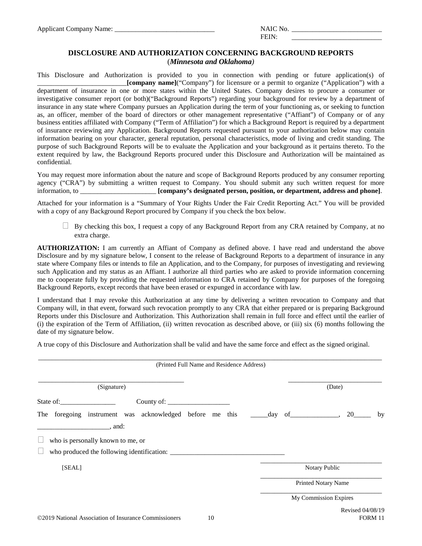FEIN:

# **DISCLOSURE AND AUTHORIZATION CONCERNING BACKGROUND REPORTS** (*Minnesota and Oklahoma)*

This Disclosure and Authorization is provided to you in connection with pending or future application(s) of \_\_\_\_\_\_\_\_\_\_\_\_\_\_\_\_\_\_\_\_\_\_\_\_\_\_**[company name]**("Company") for licensure or a permit to organize ("Application") with a department of insurance in one or more states within the United States. Company desires to procure a consumer or investigative consumer report (or both)("Background Reports") regarding your background for review by a department of insurance in any state where Company pursues an Application during the term of your functioning as, or seeking to function as, an officer, member of the board of directors or other management representative ("Affiant") of Company or of any business entities affiliated with Company ("Term of Affiliation") for which a Background Report is required by a department of insurance reviewing any Application. Background Reports requested pursuant to your authorization below may contain information bearing on your character, general reputation, personal characteristics, mode of living and credit standing. The purpose of such Background Reports will be to evaluate the Application and your background as it pertains thereto. To the extent required by law, the Background Reports procured under this Disclosure and Authorization will be maintained as confidential.

You may request more information about the nature and scope of Background Reports produced by any consumer reporting agency ("CRA") by submitting a written request to Company. You should submit any such written request for more information, to \_\_\_\_\_\_\_\_\_\_\_\_\_\_\_\_\_\_\_\_\_\_ **[company's designated person, position, or department, address and phone]**.

Attached for your information is a "Summary of Your Rights Under the Fair Credit Reporting Act." You will be provided with a copy of any Background Report procured by Company if you check the box below.

 By checking this box, I request a copy of any Background Report from any CRA retained by Company, at no extra charge.

**AUTHORIZATION:** I am currently an Affiant of Company as defined above. I have read and understand the above Disclosure and by my signature below, I consent to the release of Background Reports to a department of insurance in any state where Company files or intends to file an Application, and to the Company, for purposes of investigating and reviewing such Application and my status as an Affiant. I authorize all third parties who are asked to provide information concerning me to cooperate fully by providing the requested information to CRA retained by Company for purposes of the foregoing Background Reports, except records that have been erased or expunged in accordance with law.

I understand that I may revoke this Authorization at any time by delivering a written revocation to Company and that Company will, in that event, forward such revocation promptly to any CRA that either prepared or is preparing Background Reports under this Disclosure and Authorization. This Authorization shall remain in full force and effect until the earlier of (i) the expiration of the Term of Affiliation, (ii) written revocation as described above, or (iii) six (6) months following the date of my signature below.

A true copy of this Disclosure and Authorization shall be valid and have the same force and effect as the signed original.

| (Printed Full Name and Residence Address)                                                       |                            |
|-------------------------------------------------------------------------------------------------|----------------------------|
| (Signature)                                                                                     | (Date)                     |
| State of:                                                                                       |                            |
| The foregoing instrument was acknowledged before me this _______day of _____________, 20_______ | by                         |
|                                                                                                 |                            |
| who is personally known to me, or                                                               |                            |
|                                                                                                 |                            |
| [SEAL]                                                                                          | Notary Public              |
|                                                                                                 | <b>Printed Notary Name</b> |
|                                                                                                 | My Commission Expires      |